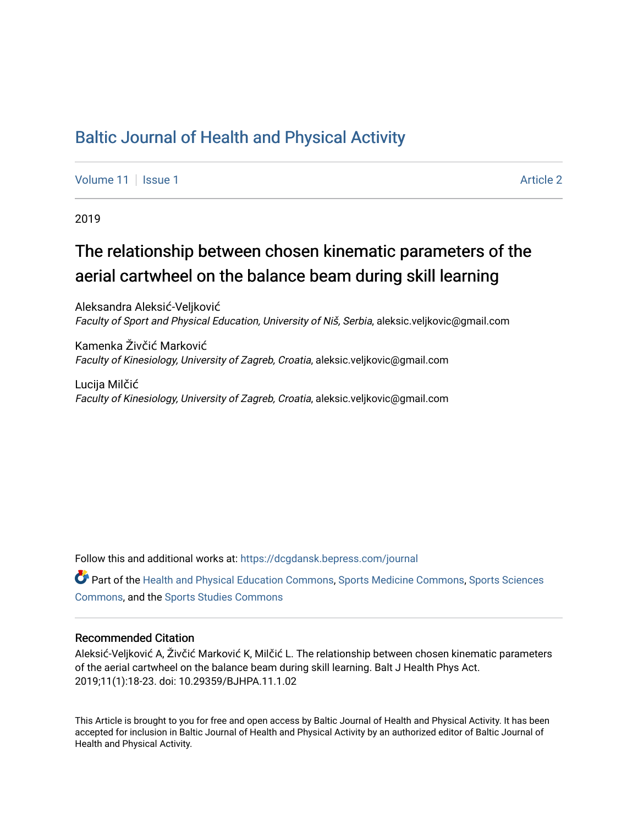## [Baltic Journal of Health and Physical Activity](https://dcgdansk.bepress.com/journal)

[Volume 11](https://dcgdansk.bepress.com/journal/vol11) | [Issue 1](https://dcgdansk.bepress.com/journal/vol11/iss1) Article 2

2019

# The relationship between chosen kinematic parameters of the aerial cartwheel on the balance beam during skill learning

Aleksandra Aleksić-Veljković Faculty of Sport and Physical Education, University of Niš, Serbia, aleksic.veljkovic@gmail.com

Kamenka Živčić Marković Faculty of Kinesiology, University of Zagreb, Croatia, aleksic.veljkovic@gmail.com

Lucija Milčić Faculty of Kinesiology, University of Zagreb, Croatia, aleksic.veljkovic@gmail.com

Follow this and additional works at: [https://dcgdansk.bepress.com/journal](https://dcgdansk.bepress.com/journal?utm_source=dcgdansk.bepress.com%2Fjournal%2Fvol11%2Fiss1%2F2&utm_medium=PDF&utm_campaign=PDFCoverPages)

Part of the [Health and Physical Education Commons](http://network.bepress.com/hgg/discipline/1327?utm_source=dcgdansk.bepress.com%2Fjournal%2Fvol11%2Fiss1%2F2&utm_medium=PDF&utm_campaign=PDFCoverPages), [Sports Medicine Commons,](http://network.bepress.com/hgg/discipline/1331?utm_source=dcgdansk.bepress.com%2Fjournal%2Fvol11%2Fiss1%2F2&utm_medium=PDF&utm_campaign=PDFCoverPages) [Sports Sciences](http://network.bepress.com/hgg/discipline/759?utm_source=dcgdansk.bepress.com%2Fjournal%2Fvol11%2Fiss1%2F2&utm_medium=PDF&utm_campaign=PDFCoverPages) [Commons](http://network.bepress.com/hgg/discipline/759?utm_source=dcgdansk.bepress.com%2Fjournal%2Fvol11%2Fiss1%2F2&utm_medium=PDF&utm_campaign=PDFCoverPages), and the [Sports Studies Commons](http://network.bepress.com/hgg/discipline/1198?utm_source=dcgdansk.bepress.com%2Fjournal%2Fvol11%2Fiss1%2F2&utm_medium=PDF&utm_campaign=PDFCoverPages) 

#### Recommended Citation

Aleksić-Veljković A, Živčić Marković K, Milčić L. The relationship between chosen kinematic parameters of the aerial cartwheel on the balance beam during skill learning. Balt J Health Phys Act. 2019;11(1):18-23. doi: 10.29359/BJHPA.11.1.02

This Article is brought to you for free and open access by Baltic Journal of Health and Physical Activity. It has been accepted for inclusion in Baltic Journal of Health and Physical Activity by an authorized editor of Baltic Journal of Health and Physical Activity.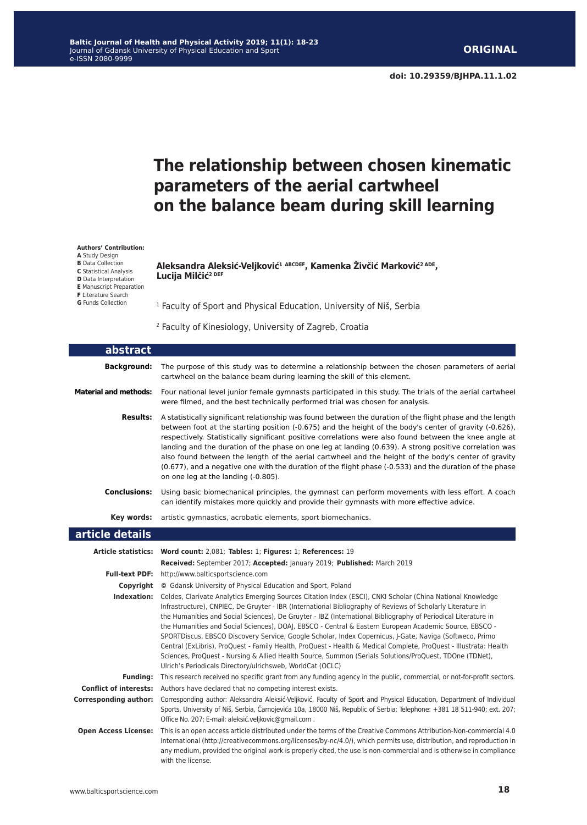**doi: 10.29359/BJHPA.11.1.02**

# **The relationship between chosen kinematic parameters of the aerial cartwheel on the balance beam during skill learning**

#### **Authors' Contribution:**

**A** Study Design **B** Data Collection

**C** Statistical Analysis **D** Data Interpretation

**E** Manuscript Preparation

**F** Literature Search

**G** Funds Collection

#### **Aleksandra Aleksić-Veljković<sup>1</sup> ABCDEF, Kamenka Živčić Marković2 ADE, Lucija Milčić2 DEF**

<sup>1</sup> Faculty of Sport and Physical Education, University of Niš, Serbia

2 Faculty of Kinesiology, University of Zagreb, Croatia

| abstract                      |                                                                                                                                                                                                                                                                                                                                                                                                                                                                                                                                                                                                                                                                                                                                                                                                                                                               |
|-------------------------------|---------------------------------------------------------------------------------------------------------------------------------------------------------------------------------------------------------------------------------------------------------------------------------------------------------------------------------------------------------------------------------------------------------------------------------------------------------------------------------------------------------------------------------------------------------------------------------------------------------------------------------------------------------------------------------------------------------------------------------------------------------------------------------------------------------------------------------------------------------------|
| <b>Background:</b>            | The purpose of this study was to determine a relationship between the chosen parameters of aerial<br>cartwheel on the balance beam during learning the skill of this element.                                                                                                                                                                                                                                                                                                                                                                                                                                                                                                                                                                                                                                                                                 |
| <b>Material and methods:</b>  | Four national level junior female gymnasts participated in this study. The trials of the aerial cartwheel<br>were filmed, and the best technically performed trial was chosen for analysis.                                                                                                                                                                                                                                                                                                                                                                                                                                                                                                                                                                                                                                                                   |
| <b>Results:</b>               | A statistically significant relationship was found between the duration of the flight phase and the length<br>between foot at the starting position (-0.675) and the height of the body's center of gravity (-0.626),<br>respectively. Statistically significant positive correlations were also found between the knee angle at<br>landing and the duration of the phase on one leg at landing (0.639). A strong positive correlation was<br>also found between the length of the aerial cartwheel and the height of the body's center of gravity<br>(0.677), and a negative one with the duration of the flight phase (-0.533) and the duration of the phase<br>on one leg at the landing (-0.805).                                                                                                                                                         |
| Conclusions:                  | Using basic biomechanical principles, the gymnast can perform movements with less effort. A coach<br>can identify mistakes more quickly and provide their gymnasts with more effective advice.                                                                                                                                                                                                                                                                                                                                                                                                                                                                                                                                                                                                                                                                |
|                               | Key words: artistic gymnastics, acrobatic elements, sport biomechanics.                                                                                                                                                                                                                                                                                                                                                                                                                                                                                                                                                                                                                                                                                                                                                                                       |
| article details               |                                                                                                                                                                                                                                                                                                                                                                                                                                                                                                                                                                                                                                                                                                                                                                                                                                                               |
|                               | Article statistics: Word count: 2,081; Tables: 1; Figures: 1; References: 19                                                                                                                                                                                                                                                                                                                                                                                                                                                                                                                                                                                                                                                                                                                                                                                  |
|                               | Received: September 2017; Accepted: January 2019; Published: March 2019                                                                                                                                                                                                                                                                                                                                                                                                                                                                                                                                                                                                                                                                                                                                                                                       |
| <b>Full-text PDF:</b>         | http://www.balticsportscience.com                                                                                                                                                                                                                                                                                                                                                                                                                                                                                                                                                                                                                                                                                                                                                                                                                             |
| Copyright                     | © Gdansk University of Physical Education and Sport, Poland                                                                                                                                                                                                                                                                                                                                                                                                                                                                                                                                                                                                                                                                                                                                                                                                   |
| Indexation:                   | Celdes, Clarivate Analytics Emerging Sources Citation Index (ESCI), CNKI Scholar (China National Knowledge<br>Infrastructure), CNPIEC, De Gruyter - IBR (International Bibliography of Reviews of Scholarly Literature in<br>the Humanities and Social Sciences), De Gruyter - IBZ (International Bibliography of Periodical Literature in<br>the Humanities and Social Sciences), DOAJ, EBSCO - Central & Eastern European Academic Source, EBSCO -<br>SPORTDiscus, EBSCO Discovery Service, Google Scholar, Index Copernicus, J-Gate, Naviga (Softweco, Primo<br>Central (ExLibris), ProQuest - Family Health, ProQuest - Health & Medical Complete, ProQuest - Illustrata: Health<br>Sciences, ProQuest - Nursing & Allied Health Source, Summon (Serials Solutions/ProQuest, TDOne (TDNet),<br>Ulrich's Periodicals Directory/ulrichsweb, WorldCat (OCLC) |
| <b>Funding:</b>               | This research received no specific grant from any funding agency in the public, commercial, or not-for-profit sectors.                                                                                                                                                                                                                                                                                                                                                                                                                                                                                                                                                                                                                                                                                                                                        |
| <b>Conflict of interests:</b> | Authors have declared that no competing interest exists.                                                                                                                                                                                                                                                                                                                                                                                                                                                                                                                                                                                                                                                                                                                                                                                                      |
| <b>Corresponding author:</b>  | Corresponding author: Aleksandra Aleksić-Veljković, Faculty of Sport and Physical Education, Department of Individual<br>Sports, University of Niš, Serbia, Čarnojevića 10a, 18000 Niš, Republic of Serbia; Telephone: +381 18 511-940; ext. 207;<br>Office No. 207; E-mail: aleksić.veljkovic@gmail.com.                                                                                                                                                                                                                                                                                                                                                                                                                                                                                                                                                     |
| <b>Open Access License:</b>   | This is an open access article distributed under the terms of the Creative Commons Attribution-Non-commercial 4.0<br>International (http://creativecommons.org/licenses/by-nc/4.0/), which permits use, distribution, and reproduction in<br>any medium, provided the original work is properly cited, the use is non-commercial and is otherwise in compliance<br>with the license.                                                                                                                                                                                                                                                                                                                                                                                                                                                                          |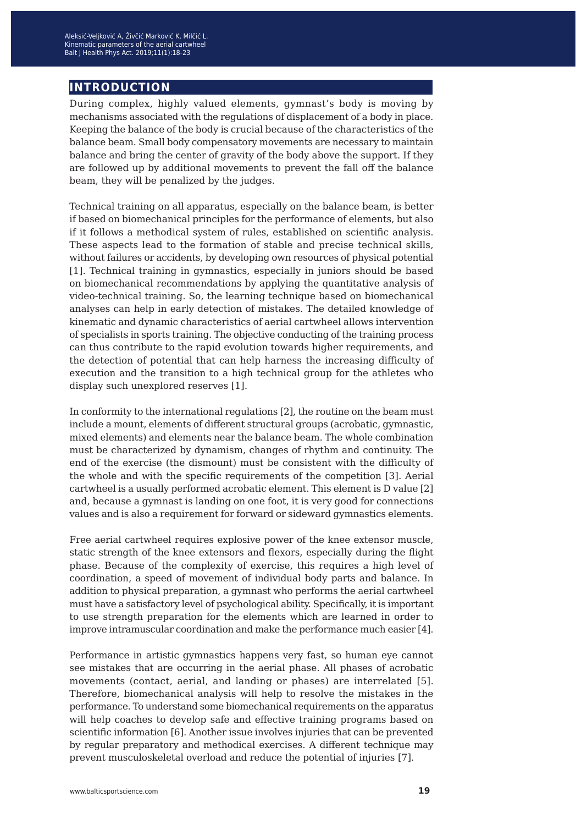## **introduction**

During complex, highly valued elements, gymnast's body is moving by mechanisms associated with the regulations of displacement of a body in place. Keeping the balance of the body is crucial because of the characteristics of the balance beam. Small body compensatory movements are necessary to maintain balance and bring the center of gravity of the body above the support. If they are followed up by additional movements to prevent the fall off the balance beam, they will be penalized by the judges.

Technical training on all apparatus, especially on the balance beam, is better if based on biomechanical principles for the performance of elements, but also if it follows a methodical system of rules, established on scientific analysis. These aspects lead to the formation of stable and precise technical skills, without failures or accidents, by developing own resources of physical potential [1]. Technical training in gymnastics, especially in juniors should be based on biomechanical recommendations by applying the quantitative analysis of video-technical training. So, the learning technique based on biomechanical analyses can help in early detection of mistakes. The detailed knowledge of kinematic and dynamic characteristics of aerial cartwheel allows intervention of specialists in sports training. The objective conducting of the training process can thus contribute to the rapid evolution towards higher requirements, and the detection of potential that can help harness the increasing difficulty of execution and the transition to a high technical group for the athletes who display such unexplored reserves [1].

In conformity to the international regulations [2], the routine on the beam must include a mount, elements of different structural groups (acrobatic, gymnastic, mixed elements) and elements near the balance beam. The whole combination must be characterized by dynamism, changes of rhythm and continuity. The end of the exercise (the dismount) must be consistent with the difficulty of the whole and with the specific requirements of the competition [3]. Aerial cartwheel is a usually performed acrobatic element. This element is D value [2] and, because a gymnast is landing on one foot, it is very good for connections values and is also a requirement for forward or sideward gymnastics elements.

Free aerial cartwheel requires explosive power of the knee extensor muscle, static strength of the knee extensors and flexors, especially during the flight phase. Because of the complexity of exercise, this requires a high level of coordination, a speed of movement of individual body parts and balance. In addition to physical preparation, a gymnast who performs the aerial cartwheel must have a satisfactory level of psychological ability. Specifically, it is important to use strength preparation for the elements which are learned in order to improve intramuscular coordination and make the performance much easier [4].

Performance in artistic gymnastics happens very fast, so human eye cannot see mistakes that are occurring in the aerial phase. All phases of acrobatic movements (contact, aerial, and landing or phases) are interrelated [5]. Therefore, biomechanical analysis will help to resolve the mistakes in the performance. To understand some biomechanical requirements on the apparatus will help coaches to develop safe and effective training programs based on scientific information [6]. Another issue involves injuries that can be prevented by regular preparatory and methodical exercises. A different technique may prevent musculoskeletal overload and reduce the potential of injuries [7].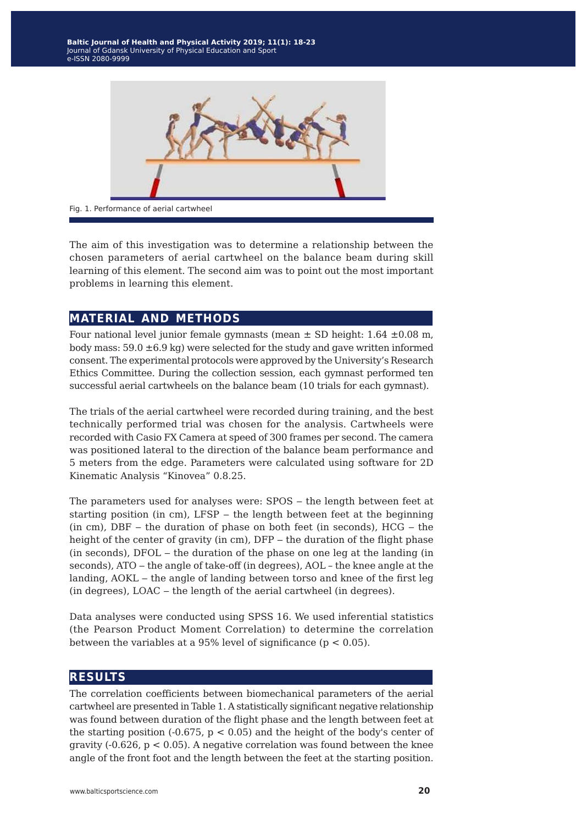

The aim of this investigation was to determine a relationship between the chosen parameters of aerial cartwheel on the balance beam during skill learning of this element. The second aim was to point out the most important problems in learning this element.

### **material and methods**

Four national level junior female gymnasts (mean  $\pm$  SD height: 1.64  $\pm$ 0.08 m, body mass:  $59.0 \pm 6.9$  kg) were selected for the study and gave written informed consent. The experimental protocols were approved by the University's Research Ethics Committee. During the collection session, each gymnast performed ten successful aerial cartwheels on the balance beam (10 trials for each gymnast).

The trials of the aerial cartwheel were recorded during training, and the best technically performed trial was chosen for the analysis. Cartwheels were recorded with Casio FX Camera at speed of 300 frames per second. The camera was positioned lateral to the direction of the balance beam performance and 5 meters from the edge. Parameters were calculated using software for 2D Kinematic Analysis "Kinovea" 0.8.25.

The parameters used for analyses were: SPOS – the length between feet at starting position (in cm), LFSP - the length between feet at the beginning  $(in cm)$ , DBF – the duration of phase on both feet  $(in seconds)$ , HCG – the height of the center of gravity (in cm), DFP - the duration of the flight phase (in seconds), DFOL ‒ the duration of the phase on one leg at the landing (in seconds), ATO – the angle of take-off (in degrees), AOL – the knee angle at the landing, AOKL – the angle of landing between torso and knee of the first leg (in degrees), LOAC - the length of the aerial cartwheel (in degrees).

Data analyses were conducted using SPSS 16. We used inferential statistics (the Pearson Product Moment Correlation) to determine the correlation between the variables at a 95% level of significance ( $p < 0.05$ ).

### **results**

The correlation coefficients between biomechanical parameters of the aerial cartwheel are presented in Table 1. A statistically significant negative relationship was found between duration of the flight phase and the length between feet at the starting position  $(-0.675, p < 0.05)$  and the height of the body's center of gravity  $(-0.626, p < 0.05)$ . A negative correlation was found between the knee angle of the front foot and the length between the feet at the starting position.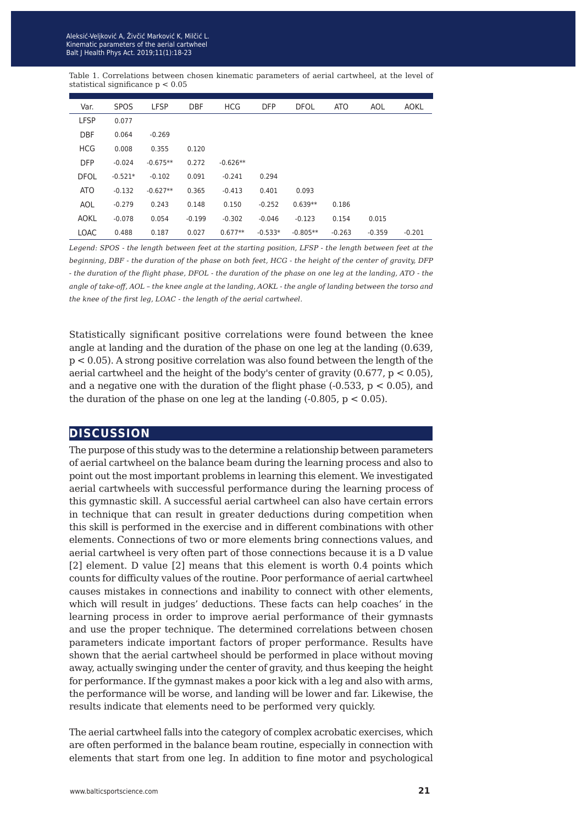Table 1. Correlations between chosen kinematic parameters of aerial cartwheel, at the level of statistical significance p < 0.05

| Var.        | <b>SPOS</b> | <b>LFSP</b> | <b>DBF</b> | <b>HCG</b> | <b>DFP</b> | <b>DFOL</b> | <b>ATO</b> | AOL      | <b>AOKL</b> |
|-------------|-------------|-------------|------------|------------|------------|-------------|------------|----------|-------------|
| <b>LFSP</b> | 0.077       |             |            |            |            |             |            |          |             |
| <b>DBF</b>  | 0.064       | $-0.269$    |            |            |            |             |            |          |             |
| <b>HCG</b>  | 0.008       | 0.355       | 0.120      |            |            |             |            |          |             |
| <b>DFP</b>  | $-0.024$    | $-0.675**$  | 0.272      | $-0.626**$ |            |             |            |          |             |
| <b>DFOL</b> | $-0.521*$   | $-0.102$    | 0.091      | $-0.241$   | 0.294      |             |            |          |             |
| <b>ATO</b>  | $-0.132$    | $-0.627**$  | 0.365      | $-0.413$   | 0.401      | 0.093       |            |          |             |
| AOL         | $-0.279$    | 0.243       | 0.148      | 0.150      | $-0.252$   | $0.639**$   | 0.186      |          |             |
| AOKL        | $-0.078$    | 0.054       | $-0.199$   | $-0.302$   | $-0.046$   | $-0.123$    | 0.154      | 0.015    |             |
| <b>LOAC</b> | 0.488       | 0.187       | 0.027      | $0.677**$  | $-0.533*$  | $-0.805**$  | $-0.263$   | $-0.359$ | $-0.201$    |

*Legend: SPOS - the length between feet at the starting position, LFSP - the length between feet at the beginning, DBF - the duration of the phase on both feet, HCG - the height of the center of gravity, DFP - the duration of the flight phase, DFOL - the duration of the phase on one leg at the landing, ATO - the angle of take-off, AOL – the knee angle at the landing, AOKL - the angle of landing between the torso and the knee of the first leg, LOAC - the length of the aerial cartwheel.*

Statistically significant positive correlations were found between the knee angle at landing and the duration of the phase on one leg at the landing (0.639, p < 0.05). A strong positive correlation was also found between the length of the aerial cartwheel and the height of the body's center of gravity (0.677, p < 0.05), and a negative one with the duration of the flight phase  $(-0.533, p < 0.05)$ , and the duration of the phase on one leg at the landing  $(-0.805, p < 0.05)$ .

### **discussion**

The purpose of this study was to the determine a relationship between parameters of aerial cartwheel on the balance beam during the learning process and also to point out the most important problems in learning this element. We investigated aerial cartwheels with successful performance during the learning process of this gymnastic skill. A successful aerial cartwheel can also have certain errors in technique that can result in greater deductions during competition when this skill is performed in the exercise and in different combinations with other elements. Connections of two or more elements bring connections values, and aerial cartwheel is very often part of those connections because it is a D value [2] element. D value [2] means that this element is worth 0.4 points which counts for difficulty values of the routine. Poor performance of aerial cartwheel causes mistakes in connections and inability to connect with other elements, which will result in judges' deductions. These facts can help coaches' in the learning process in order to improve aerial performance of their gymnasts and use the proper technique. The determined correlations between chosen parameters indicate important factors of proper performance. Results have shown that the aerial cartwheel should be performed in place without moving away, actually swinging under the center of gravity, and thus keeping the height for performance. If the gymnast makes a poor kick with a leg and also with arms, the performance will be worse, and landing will be lower and far. Likewise, the results indicate that elements need to be performed very quickly.

The aerial cartwheel falls into the category of complex acrobatic exercises, which are often performed in the balance beam routine, especially in connection with elements that start from one leg. In addition to fine motor and psychological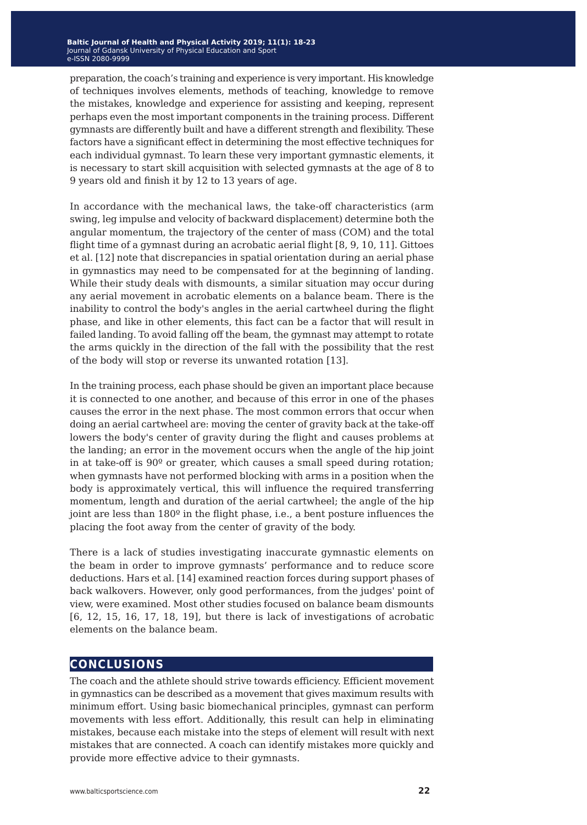preparation, the coach's training and experience is very important. His knowledge of techniques involves elements, methods of teaching, knowledge to remove the mistakes, knowledge and experience for assisting and keeping, represent perhaps even the most important components in the training process. Different gymnasts are differently built and have a different strength and flexibility. These factors have a significant effect in determining the most effective techniques for each individual gymnast. To learn these very important gymnastic elements, it is necessary to start skill acquisition with selected gymnasts at the age of 8 to 9 years old and finish it by 12 to 13 years of age.

In accordance with the mechanical laws, the take-off characteristics (arm swing, leg impulse and velocity of backward displacement) determine both the angular momentum, the trajectory of the center of mass (COM) and the total flight time of a gymnast during an acrobatic aerial flight [8, 9, 10, 11]. Gittoes et al. [12] note that discrepancies in spatial orientation during an aerial phase in gymnastics may need to be compensated for at the beginning of landing. While their study deals with dismounts, a similar situation may occur during any aerial movement in acrobatic elements on a balance beam. There is the inability to control the body's angles in the aerial cartwheel during the flight phase, and like in other elements, this fact can be a factor that will result in failed landing. To avoid falling off the beam, the gymnast may attempt to rotate the arms quickly in the direction of the fall with the possibility that the rest of the body will stop or reverse its unwanted rotation [13].

In the training process, each phase should be given an important place because it is connected to one another, and because of this error in one of the phases causes the error in the next phase. The most common errors that occur when doing an aerial cartwheel are: moving the center of gravity back at the take-off lowers the body's center of gravity during the flight and causes problems at the landing; an error in the movement occurs when the angle of the hip joint in at take-off is 90º or greater, which causes a small speed during rotation; when gymnasts have not performed blocking with arms in a position when the body is approximately vertical, this will influence the required transferring momentum, length and duration of the aerial cartwheel; the angle of the hip joint are less than 180º in the flight phase, i.e., a bent posture influences the placing the foot away from the center of gravity of the body.

There is a lack of studies investigating inaccurate gymnastic elements on the beam in order to improve gymnasts' performance and to reduce score deductions. Hars et al. [14] examined reaction forces during support phases of back walkovers. However, only good performances, from the judges' point of view, were examined. Most other studies focused on balance beam dismounts [6, 12, 15, 16, 17, 18, 19], but there is lack of investigations of acrobatic elements on the balance beam.

### **conclusions**

The coach and the athlete should strive towards efficiency. Efficient movement in gymnastics can be described as a movement that gives maximum results with minimum effort. Using basic biomechanical principles, gymnast can perform movements with less effort. Additionally, this result can help in eliminating mistakes, because each mistake into the steps of element will result with next mistakes that are connected. A coach can identify mistakes more quickly and provide more effective advice to their gymnasts.